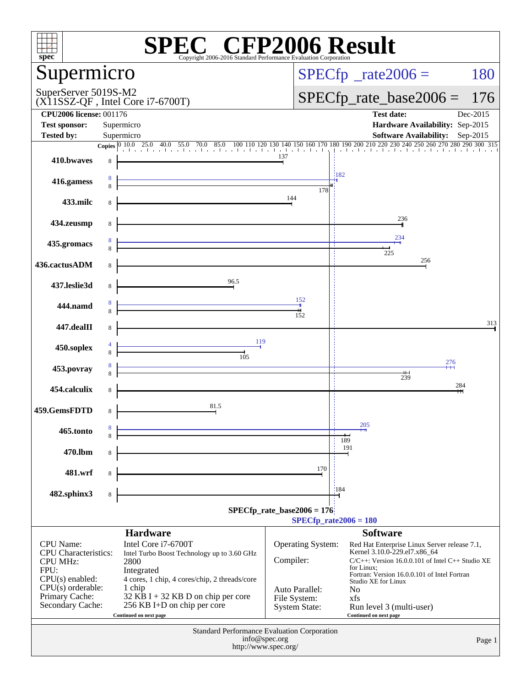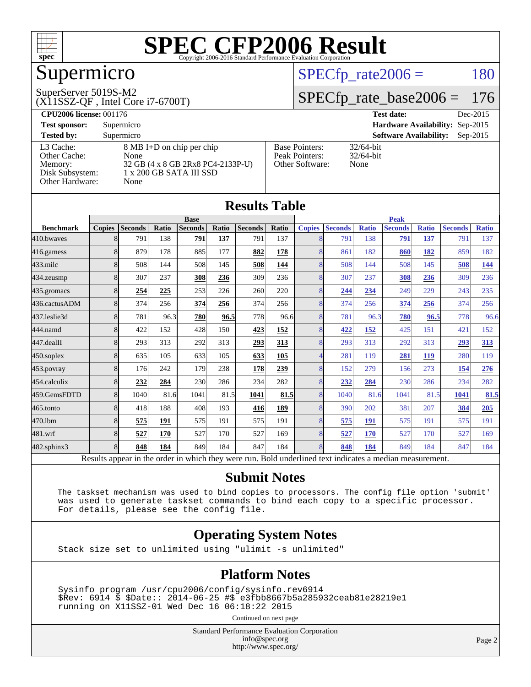

## Supermicro

#### SuperServer 5019S-M2

(X11SSZ-QF , Intel Core i7-6700T)

 $SPECTp_rate2006 = 180$ 

### [SPECfp\\_rate\\_base2006 =](http://www.spec.org/auto/cpu2006/Docs/result-fields.html#SPECfpratebase2006) 176

| <b>CPU2006 license: 001176</b> |                                   |                       | Dec-2015<br><b>Test date:</b>               |
|--------------------------------|-----------------------------------|-----------------------|---------------------------------------------|
| <b>Test sponsor:</b>           | Supermicro                        |                       | Hardware Availability: Sep-2015             |
| <b>Tested by:</b>              | Supermicro                        |                       | <b>Software Availability:</b><br>$Sep-2015$ |
| L3 Cache:                      | 8 MB I+D on chip per chip         | <b>Base Pointers:</b> | $32/64$ -bit                                |
| Other Cache:                   | None                              | Peak Pointers:        | $32/64$ -bit                                |
| Memory:                        | 32 GB (4 x 8 GB 2Rx8 PC4-2133P-U) | Other Software:       | None                                        |
| Disk Subsystem:                | 1 x 200 GB SATA III SSD           |                       |                                             |
| Other Hardware:                | None                              |                       |                                             |

**[Results Table](http://www.spec.org/auto/cpu2006/Docs/result-fields.html#ResultsTable)**

| Results Table                                                                                            |               |                |       |                |       |                |              |                |                |              |                |              |                |              |
|----------------------------------------------------------------------------------------------------------|---------------|----------------|-------|----------------|-------|----------------|--------------|----------------|----------------|--------------|----------------|--------------|----------------|--------------|
|                                                                                                          |               |                |       | <b>Base</b>    |       |                |              | <b>Peak</b>    |                |              |                |              |                |              |
| <b>Benchmark</b>                                                                                         | <b>Copies</b> | <b>Seconds</b> | Ratio | <b>Seconds</b> | Ratio | <b>Seconds</b> | <b>Ratio</b> | <b>Copies</b>  | <b>Seconds</b> | <b>Ratio</b> | <b>Seconds</b> | <b>Ratio</b> | <b>Seconds</b> | <b>Ratio</b> |
| 410.bwayes                                                                                               | 8             | 791            | 138   | 791            | 137   | 791            | 137          | 8              | 791            | 138          | 791            | 137          | 791            | 137          |
| 416.gamess                                                                                               | 8             | 879            | 178   | 885            | 177   | 882            | 178          | 8              | 861            | 182          | 860            | 182          | 859            | 182          |
| $433$ .milc                                                                                              | 8             | 508            | 144   | 508            | 145   | 508            | 144          | 8              | 508            | 144          | 508            | 145          | 508            | <u>144</u>   |
| 434.zeusmp                                                                                               | 8             | 307            | 237   | 308            | 236   | 309            | 236          | $\overline{8}$ | 307            | 237          | 308            | 236          | 309            | 236          |
| 435.gromacs                                                                                              | 8             | 254            | 225   | 253            | 226   | 260            | 220          | 8              | 244            | 234          | 249            | 229          | 243            | 235          |
| 436.cactusADM                                                                                            | 8             | 374            | 256   | 374            | 256   | 374            | 256          | 8              | 374            | 256          | 374            | 256          | 374            | 256          |
| 437.leslie3d                                                                                             | 8             | 781            | 96.3  | 780            | 96.5  | 778            | 96.6         | 8              | 781            | 96.3         | 780            | 96.5         | 778            | 96.6         |
| 444.namd                                                                                                 | 8             | 422            | 152   | 428            | 150   | 423            | 152          | 8              | 422            | 152          | 425            | 151          | 421            | 152          |
| 447.dealII                                                                                               | 8             | 293            | 313   | 292            | 313   | 293            | 313          | 8              | 293            | 313          | 292            | 313          | 293            | <u>313</u>   |
| 450.soplex                                                                                               | 8             | 635            | 105   | 633            | 105   | 633            | 105          | 4              | 281            | 119          | 281            | 119          | 280            | 119          |
| 453.povray                                                                                               | 8             | 176            | 242   | 179            | 238   | 178            | 239          | 8              | 152            | 279          | 156            | 273          | 154            | 276          |
| 454.calculix                                                                                             | 8             | 232            | 284   | 230            | 286   | 234            | 282          | 8              | 232            | 284          | 230            | 286          | 234            | 282          |
| 459.GemsFDTD                                                                                             | 8             | 1040           | 81.6  | 1041           | 81.5  | 1041           | 81.5         | 8              | 1040           | 81.6         | 1041           | 81.5         | 1041           | 81.5         |
| 465.tonto                                                                                                | 8             | 418            | 188   | 408            | 193   | 416            | <b>189</b>   | 8              | 390            | 202          | 381            | 207          | 384            | 205          |
| 470.1bm                                                                                                  | 8             | 575            | 191   | 575            | 191   | 575            | 191          | 8              | 575            | 191          | 575            | 191          | 575            | 191          |
| 481.wrf                                                                                                  | 8             | 527            | 170   | 527            | 170   | 527            | 169          | 8              | 527            | 170          | 527            | 170          | 527            | 169          |
| 482.sphinx3                                                                                              | 8             | 848            | 184   | 849            | 184   | 847            | 184          | 8              | 848            | 184          | 849            | 184          | 847            | 184          |
| Results appear in the order in which they were run. Bold underlined text indicates a median measurement. |               |                |       |                |       |                |              |                |                |              |                |              |                |              |

#### **[Submit Notes](http://www.spec.org/auto/cpu2006/Docs/result-fields.html#SubmitNotes)**

 The taskset mechanism was used to bind copies to processors. The config file option 'submit' was used to generate taskset commands to bind each copy to a specific processor. For details, please see the config file.

#### **[Operating System Notes](http://www.spec.org/auto/cpu2006/Docs/result-fields.html#OperatingSystemNotes)**

Stack size set to unlimited using "ulimit -s unlimited"

#### **[Platform Notes](http://www.spec.org/auto/cpu2006/Docs/result-fields.html#PlatformNotes)**

 Sysinfo program /usr/cpu2006/config/sysinfo.rev6914 \$Rev: 6914 \$ \$Date:: 2014-06-25 #\$ e3fbb8667b5a285932ceab81e28219e1 running on X11SSZ-01 Wed Dec 16 06:18:22 2015

Continued on next page

Standard Performance Evaluation Corporation [info@spec.org](mailto:info@spec.org) <http://www.spec.org/>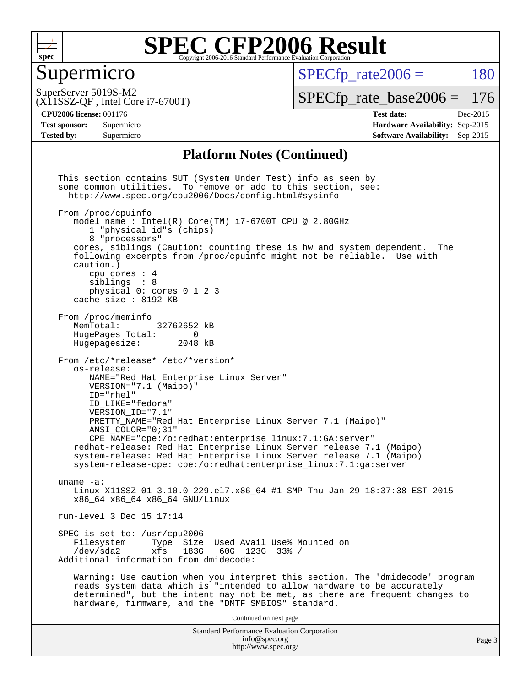

#### Supermicro

 $SPECTp\_rate2006 = 180$ 

(X11SSZ-QF , Intel Core i7-6700T) SuperServer 5019S-M2

[SPECfp\\_rate\\_base2006 =](http://www.spec.org/auto/cpu2006/Docs/result-fields.html#SPECfpratebase2006) 176

**[Tested by:](http://www.spec.org/auto/cpu2006/Docs/result-fields.html#Testedby)** Supermicro **Supermicro [Software Availability:](http://www.spec.org/auto/cpu2006/Docs/result-fields.html#SoftwareAvailability)** Sep-2015

**[CPU2006 license:](http://www.spec.org/auto/cpu2006/Docs/result-fields.html#CPU2006license)** 001176 **[Test date:](http://www.spec.org/auto/cpu2006/Docs/result-fields.html#Testdate)** Dec-2015 **[Test sponsor:](http://www.spec.org/auto/cpu2006/Docs/result-fields.html#Testsponsor)** Supermicro **[Hardware Availability:](http://www.spec.org/auto/cpu2006/Docs/result-fields.html#HardwareAvailability)** Sep-2015

#### **[Platform Notes \(Continued\)](http://www.spec.org/auto/cpu2006/Docs/result-fields.html#PlatformNotes)**

Standard Performance Evaluation Corporation [info@spec.org](mailto:info@spec.org) <http://www.spec.org/> Page 3 This section contains SUT (System Under Test) info as seen by some common utilities. To remove or add to this section, see: <http://www.spec.org/cpu2006/Docs/config.html#sysinfo> From /proc/cpuinfo model name : Intel(R) Core(TM) i7-6700T CPU @ 2.80GHz 1 "physical id"s (chips) 8 "processors" cores, siblings (Caution: counting these is hw and system dependent. The following excerpts from /proc/cpuinfo might not be reliable. Use with caution.) cpu cores : 4 siblings : 8 physical 0: cores 0 1 2 3 cache size : 8192 KB From /proc/meminfo MemTotal: 32762652 kB<br>HugePages Total: 0 HugePages\_Total: 0<br>Hugepagesize: 2048 kB Hugepagesize: From /etc/\*release\* /etc/\*version\* os-release: NAME="Red Hat Enterprise Linux Server" VERSION="7.1 (Maipo)" ID="rhel" ID\_LIKE="fedora" VERSION\_ID="7.1" PRETTY\_NAME="Red Hat Enterprise Linux Server 7.1 (Maipo)" ANSI\_COLOR="0;31" CPE\_NAME="cpe:/o:redhat:enterprise\_linux:7.1:GA:server" redhat-release: Red Hat Enterprise Linux Server release 7.1 (Maipo) system-release: Red Hat Enterprise Linux Server release 7.1 (Maipo) system-release-cpe: cpe:/o:redhat:enterprise\_linux:7.1:ga:server uname -a: Linux X11SSZ-01 3.10.0-229.el7.x86\_64 #1 SMP Thu Jan 29 18:37:38 EST 2015 x86\_64 x86\_64 x86\_64 GNU/Linux run-level 3 Dec 15 17:14 SPEC is set to: /usr/cpu2006<br>Filesystem Type Size Type Size Used Avail Use% Mounted on /dev/sda2 xfs 183G 60G 123G 33% / Additional information from dmidecode: Warning: Use caution when you interpret this section. The 'dmidecode' program reads system data which is "intended to allow hardware to be accurately determined", but the intent may not be met, as there are frequent changes to hardware, firmware, and the "DMTF SMBIOS" standard. Continued on next page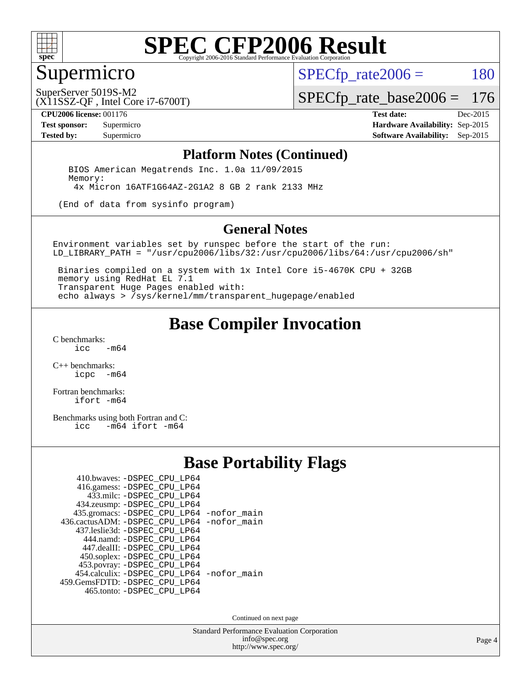

### Supermicro

 $SPECTp\_rate2006 = 180$ 

(X11SSZ-QF , Intel Core i7-6700T) SuperServer 5019S-M2

[SPECfp\\_rate\\_base2006 =](http://www.spec.org/auto/cpu2006/Docs/result-fields.html#SPECfpratebase2006) 176

**[CPU2006 license:](http://www.spec.org/auto/cpu2006/Docs/result-fields.html#CPU2006license)** 001176 **[Test date:](http://www.spec.org/auto/cpu2006/Docs/result-fields.html#Testdate)** Dec-2015

**[Test sponsor:](http://www.spec.org/auto/cpu2006/Docs/result-fields.html#Testsponsor)** Supermicro **[Hardware Availability:](http://www.spec.org/auto/cpu2006/Docs/result-fields.html#HardwareAvailability)** Sep-2015 **[Tested by:](http://www.spec.org/auto/cpu2006/Docs/result-fields.html#Testedby)** Supermicro **Supermicro [Software Availability:](http://www.spec.org/auto/cpu2006/Docs/result-fields.html#SoftwareAvailability)** Sep-2015

#### **[Platform Notes \(Continued\)](http://www.spec.org/auto/cpu2006/Docs/result-fields.html#PlatformNotes)**

 BIOS American Megatrends Inc. 1.0a 11/09/2015 Memory: 4x Micron 16ATF1G64AZ-2G1A2 8 GB 2 rank 2133 MHz

(End of data from sysinfo program)

#### **[General Notes](http://www.spec.org/auto/cpu2006/Docs/result-fields.html#GeneralNotes)**

Environment variables set by runspec before the start of the run: LD\_LIBRARY\_PATH = "/usr/cpu2006/libs/32:/usr/cpu2006/libs/64:/usr/cpu2006/sh"

 Binaries compiled on a system with 1x Intel Core i5-4670K CPU + 32GB memory using RedHat EL 7.1 Transparent Huge Pages enabled with: echo always > /sys/kernel/mm/transparent\_hugepage/enabled

### **[Base Compiler Invocation](http://www.spec.org/auto/cpu2006/Docs/result-fields.html#BaseCompilerInvocation)**

[C benchmarks](http://www.spec.org/auto/cpu2006/Docs/result-fields.html#Cbenchmarks):  $-m64$ 

[C++ benchmarks:](http://www.spec.org/auto/cpu2006/Docs/result-fields.html#CXXbenchmarks) [icpc -m64](http://www.spec.org/cpu2006/results/res2016q1/cpu2006-20151217-38464.flags.html#user_CXXbase_intel_icpc_64bit_bedb90c1146cab66620883ef4f41a67e)

[Fortran benchmarks](http://www.spec.org/auto/cpu2006/Docs/result-fields.html#Fortranbenchmarks): [ifort -m64](http://www.spec.org/cpu2006/results/res2016q1/cpu2006-20151217-38464.flags.html#user_FCbase_intel_ifort_64bit_ee9d0fb25645d0210d97eb0527dcc06e)

[Benchmarks using both Fortran and C](http://www.spec.org/auto/cpu2006/Docs/result-fields.html#BenchmarksusingbothFortranandC):<br>icc -m64 ifort -m64  $-m64$  ifort  $-m64$ 

#### **[Base Portability Flags](http://www.spec.org/auto/cpu2006/Docs/result-fields.html#BasePortabilityFlags)**

| 410.bwaves: -DSPEC CPU LP64                 |  |
|---------------------------------------------|--|
| 416.gamess: -DSPEC_CPU_LP64                 |  |
| 433.milc: -DSPEC CPU LP64                   |  |
| 434.zeusmp: -DSPEC CPU LP64                 |  |
| 435.gromacs: -DSPEC_CPU_LP64 -nofor_main    |  |
| 436.cactusADM: -DSPEC CPU LP64 -nofor main  |  |
| 437.leslie3d: -DSPEC CPU LP64               |  |
| 444.namd: -DSPEC CPU LP64                   |  |
| 447.dealII: -DSPEC_CPU LP64                 |  |
| 450.soplex: -DSPEC_CPU_LP64                 |  |
| 453.povray: -DSPEC_CPU_LP64                 |  |
| 454.calculix: - DSPEC CPU LP64 - nofor main |  |
| 459. GemsFDTD: - DSPEC CPU LP64             |  |
| 465.tonto: -DSPEC_CPU_LP64                  |  |

Continued on next page

Standard Performance Evaluation Corporation [info@spec.org](mailto:info@spec.org) <http://www.spec.org/>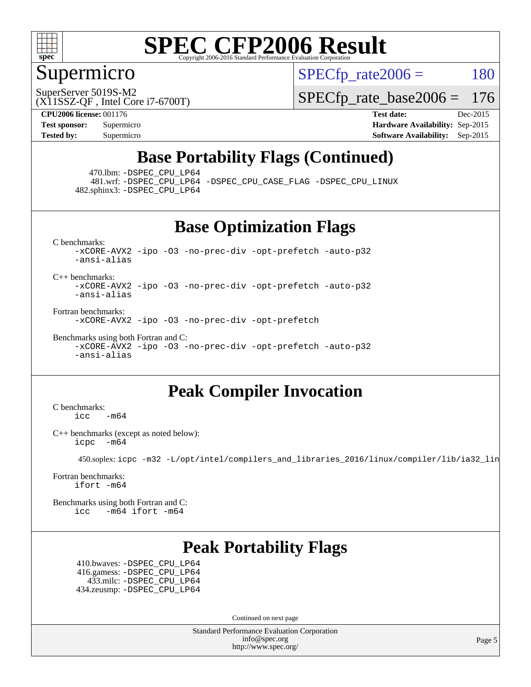

#### Supermicro

 $SPECTp\_rate2006 = 180$ 

SuperServer 5019S-M2

[SPECfp\\_rate\\_base2006 =](http://www.spec.org/auto/cpu2006/Docs/result-fields.html#SPECfpratebase2006) 176

(X11SSZ-QF , Intel Core i7-6700T) **[CPU2006 license:](http://www.spec.org/auto/cpu2006/Docs/result-fields.html#CPU2006license)** 001176 **[Test date:](http://www.spec.org/auto/cpu2006/Docs/result-fields.html#Testdate)** Dec-2015

**[Test sponsor:](http://www.spec.org/auto/cpu2006/Docs/result-fields.html#Testsponsor)** Supermicro **[Hardware Availability:](http://www.spec.org/auto/cpu2006/Docs/result-fields.html#HardwareAvailability)** Sep-2015 **[Tested by:](http://www.spec.org/auto/cpu2006/Docs/result-fields.html#Testedby)** Supermicro **Supermicro [Software Availability:](http://www.spec.org/auto/cpu2006/Docs/result-fields.html#SoftwareAvailability)** Sep-2015

### **[Base Portability Flags \(Continued\)](http://www.spec.org/auto/cpu2006/Docs/result-fields.html#BasePortabilityFlags)**

470.lbm: [-DSPEC\\_CPU\\_LP64](http://www.spec.org/cpu2006/results/res2016q1/cpu2006-20151217-38464.flags.html#suite_basePORTABILITY470_lbm_DSPEC_CPU_LP64)

 481.wrf: [-DSPEC\\_CPU\\_LP64](http://www.spec.org/cpu2006/results/res2016q1/cpu2006-20151217-38464.flags.html#suite_basePORTABILITY481_wrf_DSPEC_CPU_LP64) [-DSPEC\\_CPU\\_CASE\\_FLAG](http://www.spec.org/cpu2006/results/res2016q1/cpu2006-20151217-38464.flags.html#b481.wrf_baseCPORTABILITY_DSPEC_CPU_CASE_FLAG) [-DSPEC\\_CPU\\_LINUX](http://www.spec.org/cpu2006/results/res2016q1/cpu2006-20151217-38464.flags.html#b481.wrf_baseCPORTABILITY_DSPEC_CPU_LINUX) 482.sphinx3: [-DSPEC\\_CPU\\_LP64](http://www.spec.org/cpu2006/results/res2016q1/cpu2006-20151217-38464.flags.html#suite_basePORTABILITY482_sphinx3_DSPEC_CPU_LP64)

**[Base Optimization Flags](http://www.spec.org/auto/cpu2006/Docs/result-fields.html#BaseOptimizationFlags)**

[C benchmarks](http://www.spec.org/auto/cpu2006/Docs/result-fields.html#Cbenchmarks): [-xCORE-AVX2](http://www.spec.org/cpu2006/results/res2016q1/cpu2006-20151217-38464.flags.html#user_CCbase_f-xAVX2_5f5fc0cbe2c9f62c816d3e45806c70d7) [-ipo](http://www.spec.org/cpu2006/results/res2016q1/cpu2006-20151217-38464.flags.html#user_CCbase_f-ipo) [-O3](http://www.spec.org/cpu2006/results/res2016q1/cpu2006-20151217-38464.flags.html#user_CCbase_f-O3) [-no-prec-div](http://www.spec.org/cpu2006/results/res2016q1/cpu2006-20151217-38464.flags.html#user_CCbase_f-no-prec-div) [-opt-prefetch](http://www.spec.org/cpu2006/results/res2016q1/cpu2006-20151217-38464.flags.html#user_CCbase_f-opt-prefetch) [-auto-p32](http://www.spec.org/cpu2006/results/res2016q1/cpu2006-20151217-38464.flags.html#user_CCbase_f-auto-p32) [-ansi-alias](http://www.spec.org/cpu2006/results/res2016q1/cpu2006-20151217-38464.flags.html#user_CCbase_f-ansi-alias)

[C++ benchmarks:](http://www.spec.org/auto/cpu2006/Docs/result-fields.html#CXXbenchmarks) [-xCORE-AVX2](http://www.spec.org/cpu2006/results/res2016q1/cpu2006-20151217-38464.flags.html#user_CXXbase_f-xAVX2_5f5fc0cbe2c9f62c816d3e45806c70d7) [-ipo](http://www.spec.org/cpu2006/results/res2016q1/cpu2006-20151217-38464.flags.html#user_CXXbase_f-ipo) [-O3](http://www.spec.org/cpu2006/results/res2016q1/cpu2006-20151217-38464.flags.html#user_CXXbase_f-O3) [-no-prec-div](http://www.spec.org/cpu2006/results/res2016q1/cpu2006-20151217-38464.flags.html#user_CXXbase_f-no-prec-div) [-opt-prefetch](http://www.spec.org/cpu2006/results/res2016q1/cpu2006-20151217-38464.flags.html#user_CXXbase_f-opt-prefetch) [-auto-p32](http://www.spec.org/cpu2006/results/res2016q1/cpu2006-20151217-38464.flags.html#user_CXXbase_f-auto-p32) [-ansi-alias](http://www.spec.org/cpu2006/results/res2016q1/cpu2006-20151217-38464.flags.html#user_CXXbase_f-ansi-alias)

[Fortran benchmarks](http://www.spec.org/auto/cpu2006/Docs/result-fields.html#Fortranbenchmarks):

[-xCORE-AVX2](http://www.spec.org/cpu2006/results/res2016q1/cpu2006-20151217-38464.flags.html#user_FCbase_f-xAVX2_5f5fc0cbe2c9f62c816d3e45806c70d7) [-ipo](http://www.spec.org/cpu2006/results/res2016q1/cpu2006-20151217-38464.flags.html#user_FCbase_f-ipo) [-O3](http://www.spec.org/cpu2006/results/res2016q1/cpu2006-20151217-38464.flags.html#user_FCbase_f-O3) [-no-prec-div](http://www.spec.org/cpu2006/results/res2016q1/cpu2006-20151217-38464.flags.html#user_FCbase_f-no-prec-div) [-opt-prefetch](http://www.spec.org/cpu2006/results/res2016q1/cpu2006-20151217-38464.flags.html#user_FCbase_f-opt-prefetch)

[Benchmarks using both Fortran and C](http://www.spec.org/auto/cpu2006/Docs/result-fields.html#BenchmarksusingbothFortranandC): [-xCORE-AVX2](http://www.spec.org/cpu2006/results/res2016q1/cpu2006-20151217-38464.flags.html#user_CC_FCbase_f-xAVX2_5f5fc0cbe2c9f62c816d3e45806c70d7) [-ipo](http://www.spec.org/cpu2006/results/res2016q1/cpu2006-20151217-38464.flags.html#user_CC_FCbase_f-ipo) [-O3](http://www.spec.org/cpu2006/results/res2016q1/cpu2006-20151217-38464.flags.html#user_CC_FCbase_f-O3) [-no-prec-div](http://www.spec.org/cpu2006/results/res2016q1/cpu2006-20151217-38464.flags.html#user_CC_FCbase_f-no-prec-div) [-opt-prefetch](http://www.spec.org/cpu2006/results/res2016q1/cpu2006-20151217-38464.flags.html#user_CC_FCbase_f-opt-prefetch) [-auto-p32](http://www.spec.org/cpu2006/results/res2016q1/cpu2006-20151217-38464.flags.html#user_CC_FCbase_f-auto-p32) [-ansi-alias](http://www.spec.org/cpu2006/results/res2016q1/cpu2006-20151217-38464.flags.html#user_CC_FCbase_f-ansi-alias)

#### **[Peak Compiler Invocation](http://www.spec.org/auto/cpu2006/Docs/result-fields.html#PeakCompilerInvocation)**

[C benchmarks](http://www.spec.org/auto/cpu2006/Docs/result-fields.html#Cbenchmarks):  $\text{icc}$  -m64

[C++ benchmarks \(except as noted below\):](http://www.spec.org/auto/cpu2006/Docs/result-fields.html#CXXbenchmarksexceptasnotedbelow) [icpc -m64](http://www.spec.org/cpu2006/results/res2016q1/cpu2006-20151217-38464.flags.html#user_CXXpeak_intel_icpc_64bit_bedb90c1146cab66620883ef4f41a67e)

450.soplex: [icpc -m32 -L/opt/intel/compilers\\_and\\_libraries\\_2016/linux/compiler/lib/ia32\\_lin](http://www.spec.org/cpu2006/results/res2016q1/cpu2006-20151217-38464.flags.html#user_peakCXXLD450_soplex_intel_icpc_b4f50a394bdb4597aa5879c16bc3f5c5)

[Fortran benchmarks](http://www.spec.org/auto/cpu2006/Docs/result-fields.html#Fortranbenchmarks): [ifort -m64](http://www.spec.org/cpu2006/results/res2016q1/cpu2006-20151217-38464.flags.html#user_FCpeak_intel_ifort_64bit_ee9d0fb25645d0210d97eb0527dcc06e)

[Benchmarks using both Fortran and C](http://www.spec.org/auto/cpu2006/Docs/result-fields.html#BenchmarksusingbothFortranandC): [icc -m64](http://www.spec.org/cpu2006/results/res2016q1/cpu2006-20151217-38464.flags.html#user_CC_FCpeak_intel_icc_64bit_0b7121f5ab7cfabee23d88897260401c) [ifort -m64](http://www.spec.org/cpu2006/results/res2016q1/cpu2006-20151217-38464.flags.html#user_CC_FCpeak_intel_ifort_64bit_ee9d0fb25645d0210d97eb0527dcc06e)

#### **[Peak Portability Flags](http://www.spec.org/auto/cpu2006/Docs/result-fields.html#PeakPortabilityFlags)**

 410.bwaves: [-DSPEC\\_CPU\\_LP64](http://www.spec.org/cpu2006/results/res2016q1/cpu2006-20151217-38464.flags.html#suite_peakPORTABILITY410_bwaves_DSPEC_CPU_LP64) 416.gamess: [-DSPEC\\_CPU\\_LP64](http://www.spec.org/cpu2006/results/res2016q1/cpu2006-20151217-38464.flags.html#suite_peakPORTABILITY416_gamess_DSPEC_CPU_LP64) 433.milc: [-DSPEC\\_CPU\\_LP64](http://www.spec.org/cpu2006/results/res2016q1/cpu2006-20151217-38464.flags.html#suite_peakPORTABILITY433_milc_DSPEC_CPU_LP64) 434.zeusmp: [-DSPEC\\_CPU\\_LP64](http://www.spec.org/cpu2006/results/res2016q1/cpu2006-20151217-38464.flags.html#suite_peakPORTABILITY434_zeusmp_DSPEC_CPU_LP64)

Continued on next page

Standard Performance Evaluation Corporation [info@spec.org](mailto:info@spec.org) <http://www.spec.org/>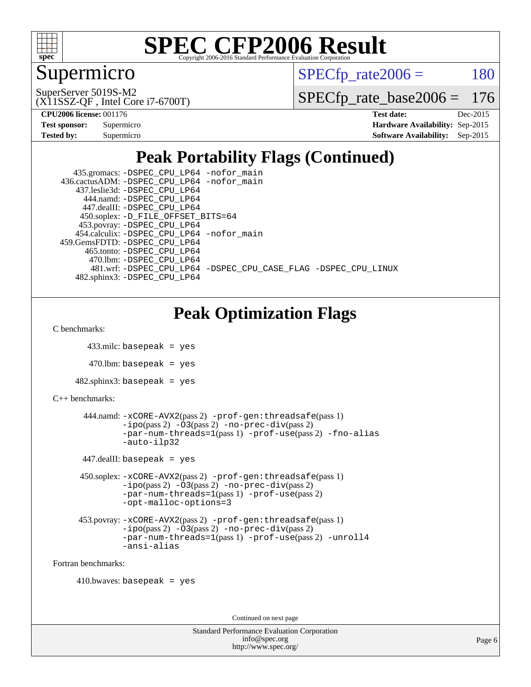

### Supermicro

 $SPECTp\_rate2006 = 180$ 

(X11SSZ-QF , Intel Core i7-6700T) SuperServer 5019S-M2

[SPECfp\\_rate\\_base2006 =](http://www.spec.org/auto/cpu2006/Docs/result-fields.html#SPECfpratebase2006) 176

**[CPU2006 license:](http://www.spec.org/auto/cpu2006/Docs/result-fields.html#CPU2006license)** 001176 **[Test date:](http://www.spec.org/auto/cpu2006/Docs/result-fields.html#Testdate)** Dec-2015

| <b>Test sponsor:</b> | Supermicro |
|----------------------|------------|
| <b>Tested by:</b>    | Supermicro |

**[Hardware Availability:](http://www.spec.org/auto/cpu2006/Docs/result-fields.html#HardwareAvailability)** Sep-2015 **[Software Availability:](http://www.spec.org/auto/cpu2006/Docs/result-fields.html#SoftwareAvailability)** Sep-2015

### **[Peak Portability Flags \(Continued\)](http://www.spec.org/auto/cpu2006/Docs/result-fields.html#PeakPortabilityFlags)**

| 435.gromacs: -DSPEC_CPU_LP64 -nofor_main                       |
|----------------------------------------------------------------|
| 436.cactusADM: -DSPEC CPU LP64 -nofor main                     |
| 437.leslie3d: -DSPEC CPU LP64                                  |
| 444.namd: -DSPEC CPU LP64                                      |
| 447.dealII: -DSPEC_CPU LP64                                    |
| 450.soplex: -D_FILE_OFFSET_BITS=64                             |
| 453.povray: -DSPEC_CPU_LP64                                    |
| 454.calculix: -DSPEC CPU LP64 -nofor main                      |
| 459. GemsFDTD: - DSPEC CPU LP64                                |
| 465.tonto: -DSPEC CPU LP64                                     |
| 470.1bm: - DSPEC CPU LP64                                      |
| 481.wrf: -DSPEC CPU_LP64 -DSPEC_CPU_CASE_FLAG -DSPEC_CPU_LINUX |
| 482.sphinx3: -DSPEC CPU LP64                                   |

### **[Peak Optimization Flags](http://www.spec.org/auto/cpu2006/Docs/result-fields.html#PeakOptimizationFlags)**

[C benchmarks](http://www.spec.org/auto/cpu2006/Docs/result-fields.html#Cbenchmarks):

```
 433.milc: basepeak = yes
```

```
470.lbm: basepeak = yes
```

```
482.sphinx3: basepeak = yes
```

```
C++ benchmarks:
```

```
 444.namd: -xCORE-AVX2(pass 2) -prof-gen:threadsafe(pass 1)
 -ipo(pass 2) -O3(pass 2) -no-prec-div(pass 2)
 -par-num-threads=1(pass 1) -prof-use(pass 2) -fno-alias
-auto-ilp32
```
 $447$ .dealII: basepeak = yes

```
 450.soplex: -xCORE-AVX2(pass 2) -prof-gen:threadsafe(pass 1)
 -ipo(pass 2) -O3(pass 2) -no-prec-div(pass 2)
 -par-num-threads=1(pass 1) -prof-use(pass 2)
 -opt-malloc-options=3
```

```
 453.povray: -xCORE-AVX2(pass 2) -prof-gen:threadsafe(pass 1)
-no-prec-div(pass 2)-par-num-threads=1(pass 1) -prof-use(pass 2) -unroll4
-ansi-alias
```
[Fortran benchmarks](http://www.spec.org/auto/cpu2006/Docs/result-fields.html#Fortranbenchmarks):

```
410.bwaves: basepeak = yes
```
Continued on next page

```
Standard Performance Evaluation Corporation
     info@spec.org
   http://www.spec.org/
```